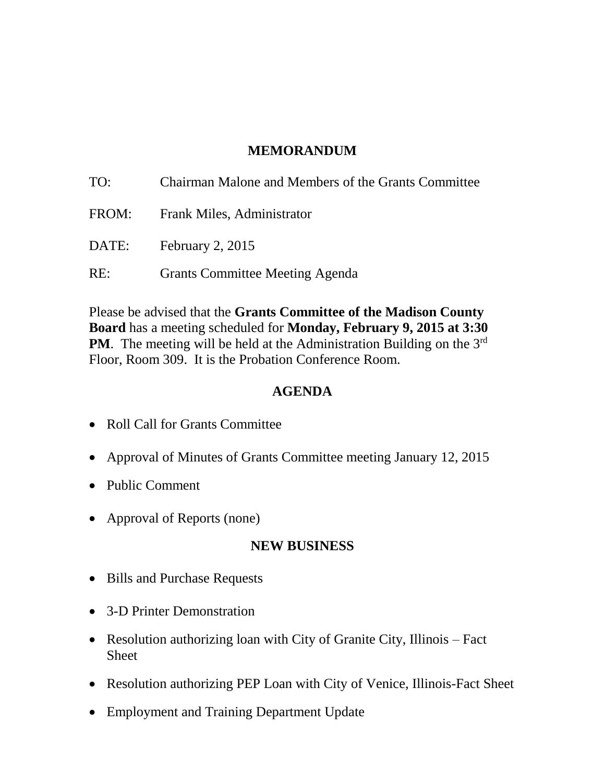## **MEMORANDUM**

| TO:   | Chairman Malone and Members of the Grants Committee |
|-------|-----------------------------------------------------|
| FROM: | Frank Miles, Administrator                          |
|       | DATE: February 2, 2015                              |
| RE:   | <b>Grants Committee Meeting Agenda</b>              |

Please be advised that the **Grants Committee of the Madison County Board** has a meeting scheduled for **Monday, February 9, 2015 at 3:30 PM**. The meeting will be held at the Administration Building on the 3<sup>rd</sup> Floor, Room 309. It is the Probation Conference Room.

### **AGENDA**

- Roll Call for Grants Committee
- Approval of Minutes of Grants Committee meeting January 12, 2015
- Public Comment
- Approval of Reports (none)

# **NEW BUSINESS**

- Bills and Purchase Requests
- 3-D Printer Demonstration
- Resolution authorizing loan with City of Granite City, Illinois Fact **Sheet**
- Resolution authorizing PEP Loan with City of Venice, Illinois-Fact Sheet
- Employment and Training Department Update